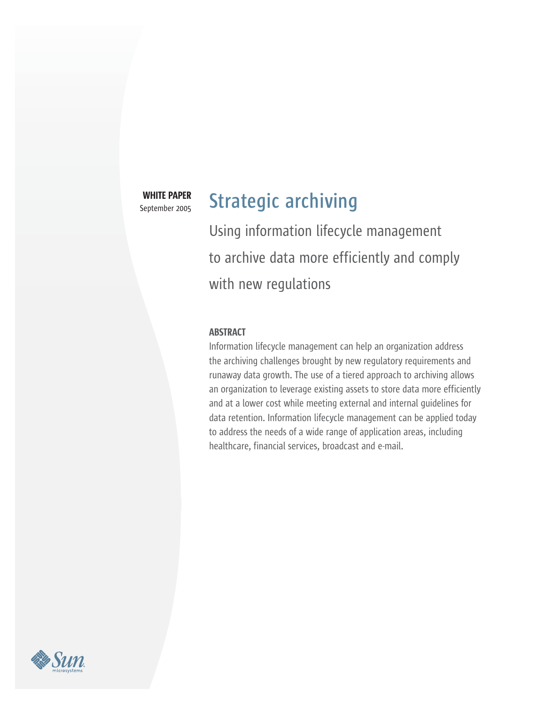WHITE PAPER September 2005

# **Strategic archiving**

Using information lifecycle management to archive data more efficiently and comply with new regulations

## **ABSTRACT**

Information lifecycle management can help an organization address the archiving challenges brought by new regulatory requirements and runaway data growth. The use of a tiered approach to archiving allows an organization to leverage existing assets to store data more efficiently and at a lower cost while meeting external and internal guidelines for data retention. Information lifecycle management can be applied today to address the needs of a wide range of application areas, including healthcare, financial services, broadcast and e-mail.

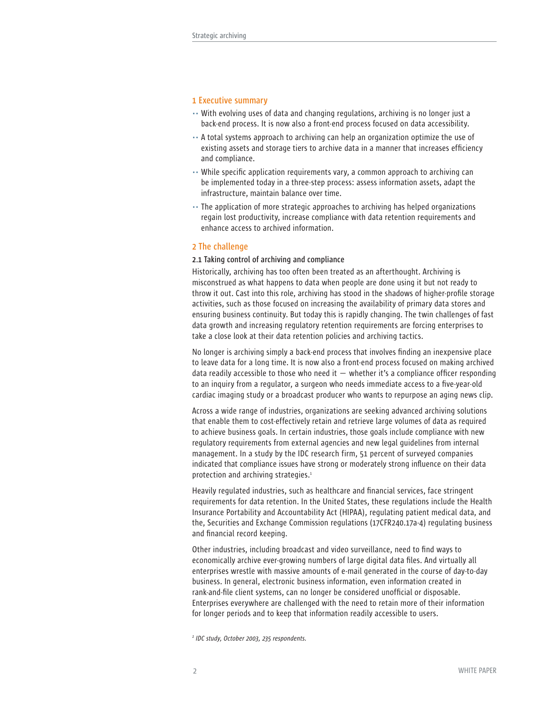## **1 Executive summary**

- .. With evolving uses of data and changing regulations, archiving is no longer just a back-end process. It is now also a front-end process focused on data accessibility.
- .. A total systems approach to archiving can help an organization optimize the use of existing assets and storage tiers to archive data in a manner that increases efficiency and compliance.
- .. While specific application requirements vary, a common approach to archiving can be implemented today in a three-step process: assess information assets, adapt the infrastructure, maintain balance over time.
- .. The application of more strategic approaches to archiving has helped organizations regain lost productivity, increase compliance with data retention requirements and enhance access to archived information.

#### **2 The challenge**

## **2.1 Taking control of archiving and compliance**

Historically, archiving has too often been treated as an afterthought. Archiving is misconstrued as what happens to data when people are done using it but not ready to throw it out. Cast into this role, archiving has stood in the shadows of higher-profile storage activities, such as those focused on increasing the availability of primary data stores and ensuring business continuity. But today this is rapidly changing. The twin challenges of fast data growth and increasing regulatory retention requirements are forcing enterprises to take a close look at their data retention policies and archiving tactics.

No longer is archiving simply a back-end process that involves finding an inexpensive place to leave data for a long time. It is now also a front-end process focused on making archived data readily accessible to those who need it  $-$  whether it's a compliance officer responding to an inquiry from a regulator, a surgeon who needs immediate access to a five-year-old cardiac imaging study or a broadcast producer who wants to repurpose an aging news clip.

Across a wide range of industries, organizations are seeking advanced archiving solutions that enable them to cost-effectively retain and retrieve large volumes of data as required to achieve business goals. In certain industries, those goals include compliance with new regulatory requirements from external agencies and new legal guidelines from internal management. In a study by the IDC research firm, 51 percent of surveyed companies indicated that compliance issues have strong or moderately strong influence on their data protection and archiving strategies.<sup>1</sup>

Heavily regulated industries, such as healthcare and financial services, face stringent requirements for data retention. In the United States, these regulations include the Health Insurance Portability and Accountability Act (HIPAA), regulating patient medical data, and the, Securities and Exchange Commission regulations (17CFR240.17a-4) regulating business and financial record keeping.

Other industries, including broadcast and video surveillance, need to find ways to economically archive ever-growing numbers of large digital data files. And virtually all enterprises wrestle with massive amounts of e-mail generated in the course of day-to-day business. In general, electronic business information, even information created in rank-and-file client systems, can no longer be considered unofficial or disposable. Enterprises everywhere are challenged with the need to retain more of their information for longer periods and to keep that information readily accessible to users.

*1 IDC study, October 2003, 235 respondents.*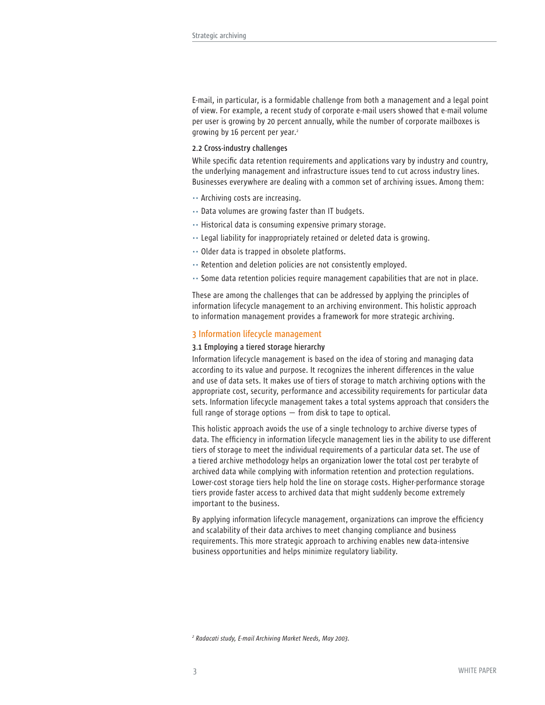E-mail, in particular, is a formidable challenge from both a management and a legal point of view. For example, a recent study of corporate e-mail users showed that e-mail volume per user is growing by 20 percent annually, while the number of corporate mailboxes is growing by 16 percent per year.<sup>2</sup>

## **2.2 Cross-industry challenges**

While specific data retention requirements and applications vary by industry and country, the underlying management and infrastructure issues tend to cut across industry lines. Businesses everywhere are dealing with a common set of archiving issues. Among them:

- .. Archiving costs are increasing.
- .. Data volumes are growing faster than IT budgets.
- .. Historical data is consuming expensive primary storage.
- .. Legal liability for inappropriately retained or deleted data is growing.
- .. Older data is trapped in obsolete platforms.
- .. Retention and deletion policies are not consistently employed.
- .. Some data retention policies require management capabilities that are not in place.

These are among the challenges that can be addressed by applying the principles of information lifecycle management to an archiving environment. This holistic approach to information management provides a framework for more strategic archiving.

## **3 Information lifecycle management**

## **3.1 Employing a tiered storage hierarchy**

Information lifecycle management is based on the idea of storing and managing data according to its value and purpose. It recognizes the inherent differences in the value and use of data sets. It makes use of tiers of storage to match archiving options with the appropriate cost, security, performance and accessibility requirements for particular data sets. Information lifecycle management takes a total systems approach that considers the full range of storage options — from disk to tape to optical.

This holistic approach avoids the use of a single technology to archive diverse types of data. The efficiency in information lifecycle management lies in the ability to use different tiers of storage to meet the individual requirements of a particular data set. The use of a tiered archive methodology helps an organization lower the total cost per terabyte of archived data while complying with information retention and protection regulations. Lower-cost storage tiers help hold the line on storage costs. Higher-performance storage tiers provide faster access to archived data that might suddenly become extremely important to the business.

By applying information lifecycle management, organizations can improve the efficiency and scalability of their data archives to meet changing compliance and business requirements. This more strategic approach to archiving enables new data-intensive business opportunities and helps minimize regulatory liability.

*2 Radacati study, E-mail Archiving Market Needs, May 2003.*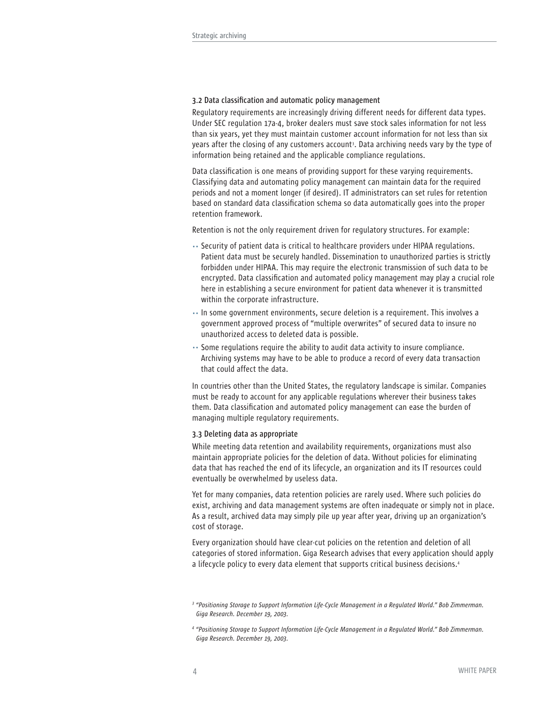#### **3.2 Data classification and automatic policy management**

Regulatory requirements are increasingly driving different needs for different data types. Under SEC regulation 17a-4, broker dealers must save stock sales information for not less than six years, yet they must maintain customer account information for not less than six years after the closing of any customers account<sup>3</sup>. Data archiving needs vary by the type of information being retained and the applicable compliance regulations.

Data classification is one means of providing support for these varying requirements. Classifying data and automating policy management can maintain data for the required periods and not a moment longer (if desired). IT administrators can set rules for retention based on standard data classification schema so data automatically goes into the proper retention framework.

Retention is not the only requirement driven for regulatory structures. For example:

- .. Security of patient data is critical to healthcare providers under HIPAA regulations. Patient data must be securely handled. Dissemination to unauthorized parties is strictly forbidden under HIPAA. This may require the electronic transmission of such data to be encrypted. Data classification and automated policy management may play a crucial role here in establishing a secure environment for patient data whenever it is transmitted within the corporate infrastructure.
- .. In some government environments, secure deletion is a requirement. This involves a government approved process of "multiple overwrites" of secured data to insure no unauthorized access to deleted data is possible.
- .. Some regulations require the ability to audit data activity to insure compliance. Archiving systems may have to be able to produce a record of every data transaction that could affect the data.

In countries other than the United States, the regulatory landscape is similar. Companies must be ready to account for any applicable regulations wherever their business takes them. Data classification and automated policy management can ease the burden of managing multiple regulatory requirements.

#### **3.3 Deleting data as appropriate**

While meeting data retention and availability requirements, organizations must also maintain appropriate policies for the deletion of data. Without policies for eliminating data that has reached the end of its lifecycle, an organization and its IT resources could eventually be overwhelmed by useless data.

Yet for many companies, data retention policies are rarely used. Where such policies do exist, archiving and data management systems are often inadequate or simply not in place. As a result, archived data may simply pile up year after year, driving up an organization's cost of storage.

Every organization should have clear-cut policies on the retention and deletion of all categories of stored information. Giga Research advises that every application should apply a lifecycle policy to every data element that supports critical business decisions.4

*<sup>3</sup> "Positioning Storage to Support Information Life-Cycle Management in a Regulated World." Bob Zimmerman. Giga Research. December 19, 2003.*

*<sup>4</sup> "Positioning Storage to Support Information Life-Cycle Management in a Regulated World." Bob Zimmerman. Giga Research. December 19, 2003.*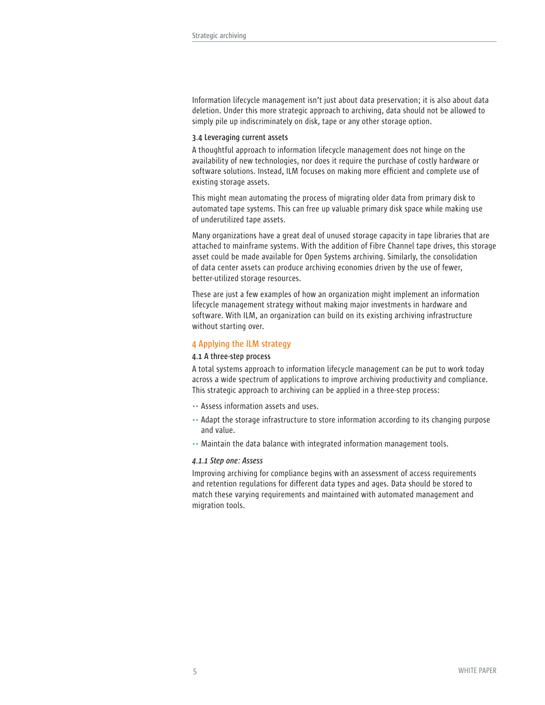Information lifecycle management isn't just about data preservation; it is also about data deletion. Under this more strategic approach to archiving, data should not be allowed to simply pile up indiscriminately on disk, tape or any other storage option.

#### **3.4 Leveraging current assets**

A thoughtful approach to information lifecycle management does not hinge on the availability of new technologies, nor does it require the purchase of costly hardware or software solutions. Instead, ILM focuses on making more efficient and complete use of existing storage assets.

This might mean automating the process of migrating older data from primary disk to automated tape systems. This can free up valuable primary disk space while making use of underutilized tape assets.

Many organizations have a great deal of unused storage capacity in tape libraries that are attached to mainframe systems. With the addition of Fibre Channel tape drives, this storage asset could be made available for Open Systems archiving. Similarly, the consolidation of data center assets can produce archiving economies driven by the use of fewer, better-utilized storage resources.

These are just a few examples of how an organization might implement an information lifecycle management strategy without making major investments in hardware and software. With ILM, an organization can build on its existing archiving infrastructure without starting over.

## **4 Applying the ILM strategy**

#### **4.1 A three-step process**

A total systems approach to information lifecycle management can be put to work today across a wide spectrum of applications to improve archiving productivity and compliance. This strategic approach to archiving can be applied in a three-step process:

- .. Assess information assets and uses.
- .. Adapt the storage infrastructure to store information according to its changing purpose and value.
- .. Maintain the data balance with integrated information management tools.

#### *4.1.1 Step one: Assess*

Improving archiving for compliance begins with an assessment of access requirements and retention regulations for different data types and ages. Data should be stored to match these varying requirements and maintained with automated management and migration tools.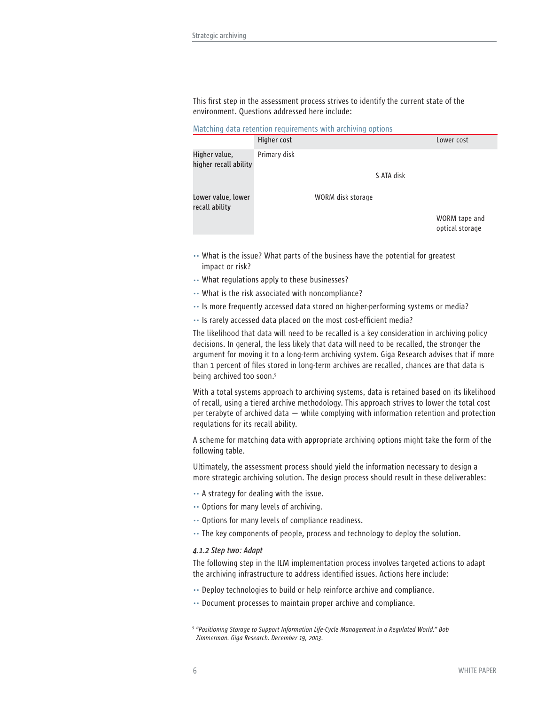This first step in the assessment process strives to identify the current state of the environment. Questions addressed here include:

|  | Matching data retention requirements with archiving options |  |  |
|--|-------------------------------------------------------------|--|--|
|  |                                                             |  |  |

|                                        | Higher cost  |                   | Lower cost                       |
|----------------------------------------|--------------|-------------------|----------------------------------|
| Higher value,<br>higher recall ability | Primary disk |                   |                                  |
|                                        |              | S-ATA disk        |                                  |
| Lower value, lower<br>recall ability   |              | WORM disk storage |                                  |
|                                        |              |                   | WORM tape and<br>optical storage |

- .. What is the issue? What parts of the business have the potential for greatest impact or risk?
- .. What regulations apply to these businesses?
- .. What is the risk associated with noncompliance?
- .. Is more frequently accessed data stored on higher-performing systems or media?
- .. Is rarely accessed data placed on the most cost-efficient media?

The likelihood that data will need to be recalled is a key consideration in archiving policy decisions. In general, the less likely that data will need to be recalled, the stronger the argument for moving it to a long-term archiving system. Giga Research advises that if more than 1 percent of files stored in long-term archives are recalled, chances are that data is being archived too soon.<sup>5</sup>

With a total systems approach to archiving systems, data is retained based on its likelihood of recall, using a tiered archive methodology. This approach strives to lower the total cost per terabyte of archived data — while complying with information retention and protection regulations for its recall ability.

A scheme for matching data with appropriate archiving options might take the form of the following table.

Ultimately, the assessment process should yield the information necessary to design a more strategic archiving solution. The design process should result in these deliverables:

- .. A strategy for dealing with the issue.
- .. Options for many levels of archiving.
- .. Options for many levels of compliance readiness.
- .. The key components of people, process and technology to deploy the solution.

## *4.1.2 Step two: Adapt*

The following step in the ILM implementation process involves targeted actions to adapt the archiving infrastructure to address identified issues. Actions here include:

- .. Deploy technologies to build or help reinforce archive and compliance.
- .. Document processes to maintain proper archive and compliance.
- *5 "Positioning Storage to Support Information Life-Cycle Management in a Regulated World." Bob Zimmerman. Giga Research. December 19, 2003.*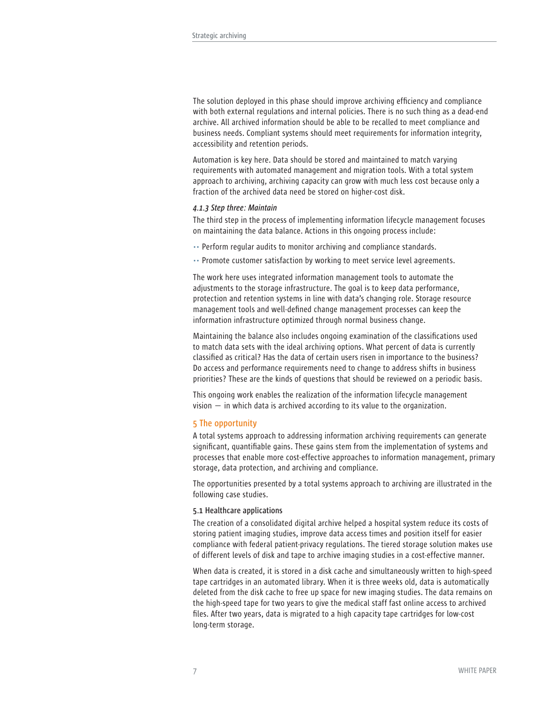The solution deployed in this phase should improve archiving efficiency and compliance with both external regulations and internal policies. There is no such thing as a dead-end archive. All archived information should be able to be recalled to meet compliance and business needs. Compliant systems should meet requirements for information integrity, accessibility and retention periods.

Automation is key here. Data should be stored and maintained to match varying requirements with automated management and migration tools. With a total system approach to archiving, archiving capacity can grow with much less cost because only a fraction of the archived data need be stored on higher-cost disk.

#### *4.1.3 Step three: Maintain*

The third step in the process of implementing information lifecycle management focuses on maintaining the data balance. Actions in this ongoing process include:

- .. Perform regular audits to monitor archiving and compliance standards.
- .. Promote customer satisfaction by working to meet service level agreements.

The work here uses integrated information management tools to automate the adjustments to the storage infrastructure. The goal is to keep data performance, protection and retention systems in line with data's changing role. Storage resource management tools and well-defined change management processes can keep the information infrastructure optimized through normal business change.

Maintaining the balance also includes ongoing examination of the classifications used to match data sets with the ideal archiving options. What percent of data is currently classified as critical? Has the data of certain users risen in importance to the business? Do access and performance requirements need to change to address shifts in business priorities? These are the kinds of questions that should be reviewed on a periodic basis.

This ongoing work enables the realization of the information lifecycle management vision — in which data is archived according to its value to the organization.

## **5 The opportunity**

A total systems approach to addressing information archiving requirements can generate significant, quantifiable gains. These gains stem from the implementation of systems and processes that enable more cost-effective approaches to information management, primary storage, data protection, and archiving and compliance.

The opportunities presented by a total systems approach to archiving are illustrated in the following case studies.

#### **5.1 Healthcare applications**

The creation of a consolidated digital archive helped a hospital system reduce its costs of storing patient imaging studies, improve data access times and position itself for easier compliance with federal patient-privacy regulations. The tiered storage solution makes use of different levels of disk and tape to archive imaging studies in a cost-effective manner.

When data is created, it is stored in a disk cache and simultaneously written to high-speed tape cartridges in an automated library. When it is three weeks old, data is automatically deleted from the disk cache to free up space for new imaging studies. The data remains on the high-speed tape for two years to give the medical staff fast online access to archived files. After two years, data is migrated to a high capacity tape cartridges for low-cost long-term storage.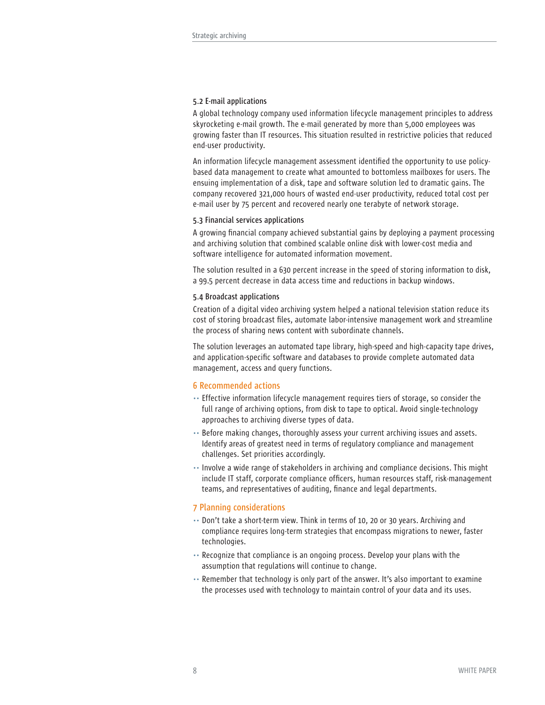## **5.2 E-mail applications**

A global technology company used information lifecycle management principles to address skyrocketing e-mail growth. The e-mail generated by more than 5,000 employees was growing faster than IT resources. This situation resulted in restrictive policies that reduced end-user productivity.

An information lifecycle management assessment identified the opportunity to use policybased data management to create what amounted to bottomless mailboxes for users. The ensuing implementation of a disk, tape and software solution led to dramatic gains. The company recovered 321,000 hours of wasted end-user productivity, reduced total cost per e-mail user by 75 percent and recovered nearly one terabyte of network storage.

## **5.3 Financial services applications**

A growing financial company achieved substantial gains by deploying a payment processing and archiving solution that combined scalable online disk with lower-cost media and software intelligence for automated information movement.

The solution resulted in a 630 percent increase in the speed of storing information to disk, a 99.5 percent decrease in data access time and reductions in backup windows.

#### **5.4 Broadcast applications**

Creation of a digital video archiving system helped a national television station reduce its cost of storing broadcast files, automate labor-intensive management work and streamline the process of sharing news content with subordinate channels.

The solution leverages an automated tape library, high-speed and high-capacity tape drives, and application-specific software and databases to provide complete automated data management, access and query functions.

## **6 Recommended actions**

- .. Effective information lifecycle management requires tiers of storage, so consider the full range of archiving options, from disk to tape to optical. Avoid single-technology approaches to archiving diverse types of data.
- .. Before making changes, thoroughly assess your current archiving issues and assets. Identify areas of greatest need in terms of regulatory compliance and management challenges. Set priorities accordingly.
- .. Involve a wide range of stakeholders in archiving and compliance decisions. This might include IT staff, corporate compliance officers, human resources staff, risk-management teams, and representatives of auditing, finance and legal departments.

## **7 Planning considerations**

- .. Don't take a short-term view. Think in terms of 10, 20 or 30 years. Archiving and compliance requires long-term strategies that encompass migrations to newer, faster technologies.
- .. Recognize that compliance is an ongoing process. Develop your plans with the assumption that regulations will continue to change.
- .. Remember that technology is only part of the answer. It's also important to examine the processes used with technology to maintain control of your data and its uses.